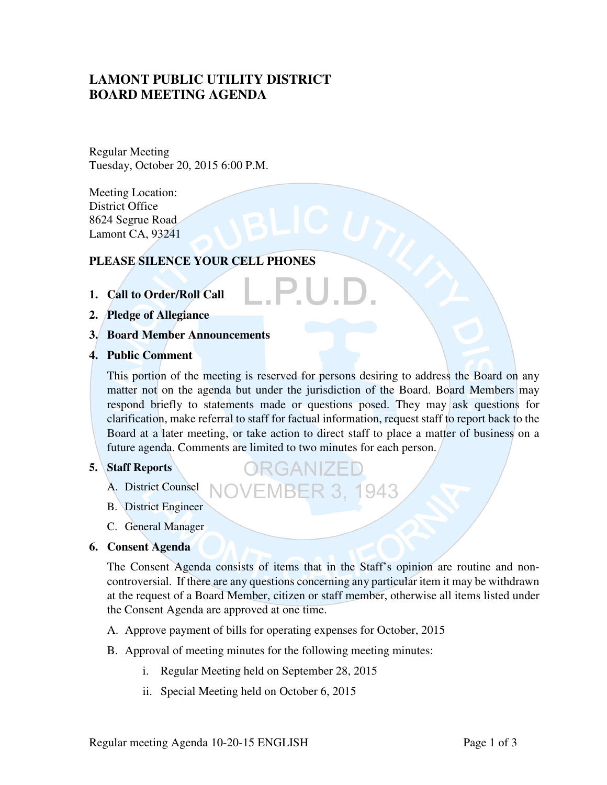# **LAMONT PUBLIC UTILITY DISTRICT BOARD MEETING AGENDA**

Regular Meeting Tuesday, October 20, 2015 6:00 P.M.

Meeting Location: District Office 8624 Segrue Road Lamont CA, 93241

# **PLEASE SILENCE YOUR CELL PHONES**

- **1. Call to Order/Roll Call**
- **2. Pledge of Allegiance**
- **3. Board Member Announcements**
- **4. Public Comment**

This portion of the meeting is reserved for persons desiring to address the Board on any matter not on the agenda but under the jurisdiction of the Board. Board Members may respond briefly to statements made or questions posed. They may ask questions for clarification, make referral to staff for factual information, request staff to report back to the Board at a later meeting, or take action to direct staff to place a matter of business on a future agenda. Comments are limited to two minutes for each person.

**/EMBER 3, 1943** 

**ERGANIZE** 

#### **5. Staff Reports**

- A. District Counsel
- B. District Engineer
- C. General Manager

#### **6. Consent Agenda**

The Consent Agenda consists of items that in the Staff's opinion are routine and noncontroversial. If there are any questions concerning any particular item it may be withdrawn at the request of a Board Member, citizen or staff member, otherwise all items listed under the Consent Agenda are approved at one time.

- A. Approve payment of bills for operating expenses for October, 2015
- B. Approval of meeting minutes for the following meeting minutes:
	- i. Regular Meeting held on September 28, 2015
	- ii. Special Meeting held on October 6, 2015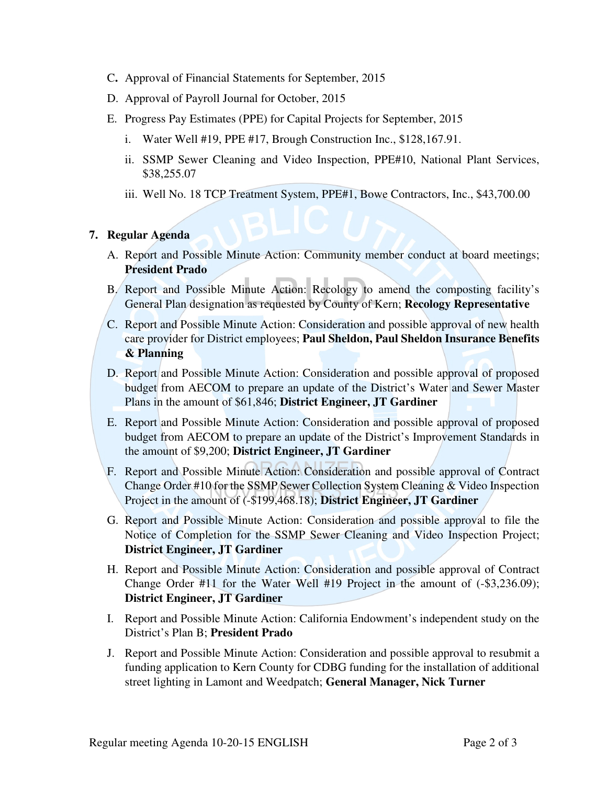- C**.** Approval of Financial Statements for September, 2015
- D. Approval of Payroll Journal for October, 2015
- E. Progress Pay Estimates (PPE) for Capital Projects for September, 2015
	- i. Water Well #19, PPE #17, Brough Construction Inc., \$128,167.91.
	- ii. SSMP Sewer Cleaning and Video Inspection, PPE#10, National Plant Services, \$38,255.07
	- iii. Well No. 18 TCP Treatment System, PPE#1, Bowe Contractors, Inc., \$43,700.00

# **7. Regular Agenda**

- A. Report and Possible Minute Action: Community member conduct at board meetings; **President Prado**
- B. Report and Possible Minute Action: Recology to amend the composting facility's General Plan designation as requested by County of Kern; **Recology Representative**
- C. Report and Possible Minute Action: Consideration and possible approval of new health care provider for District employees; **Paul Sheldon, Paul Sheldon Insurance Benefits & Planning**
- D. Report and Possible Minute Action: Consideration and possible approval of proposed budget from AECOM to prepare an update of the District's Water and Sewer Master Plans in the amount of \$61,846; **District Engineer, JT Gardiner**
- E. Report and Possible Minute Action: Consideration and possible approval of proposed budget from AECOM to prepare an update of the District's Improvement Standards in the amount of \$9,200; **District Engineer, JT Gardiner**
- F. Report and Possible Minute Action: Consideration and possible approval of Contract Change Order #10 for the SSMP Sewer Collection System Cleaning & Video Inspection Project in the amount of (-\$199,468.18); **District Engineer, JT Gardiner**
- G. Report and Possible Minute Action: Consideration and possible approval to file the Notice of Completion for the SSMP Sewer Cleaning and Video Inspection Project; **District Engineer, JT Gardiner**
- H. Report and Possible Minute Action: Consideration and possible approval of Contract Change Order #11 for the Water Well #19 Project in the amount of (-\$3,236.09); **District Engineer, JT Gardiner**
- I. Report and Possible Minute Action: California Endowment's independent study on the District's Plan B; **President Prado**
- J. Report and Possible Minute Action: Consideration and possible approval to resubmit a funding application to Kern County for CDBG funding for the installation of additional street lighting in Lamont and Weedpatch; **General Manager, Nick Turner**